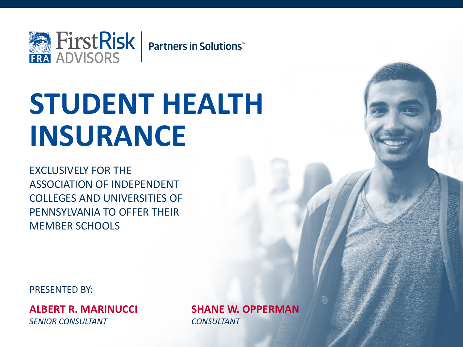

# **STUDENT HEALTH INSURANCE**

EXCLUSIVELY FOR THE ASSOCIATION OF INDEPENDENT COLLEGES AND UNIVERSITIES OF PENNSYLVANIA TO OFFER THEIR MEMBER SCHOOLS

PRESENTED BY:

**ALBERT R. MARINUCCI SHANE W. OPPERMAN** *SENIOR CONSULTANT CONSULTANT*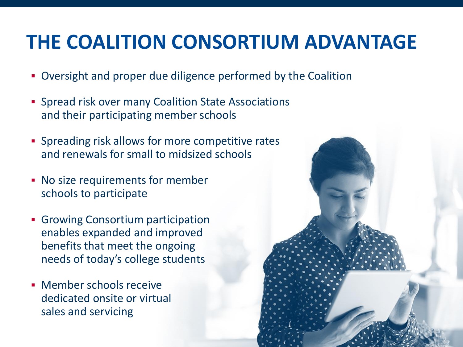#### **THE COALITION CONSORTIUM ADVANTAGE**

- Oversight and proper due diligence performed by the Coalition
- **Spread risk over many Coalition State Associations** and their participating member schools
- **EX Spreading risk allows for more competitive rates** and renewals for small to midsized schools
- No size requirements for member schools to participate
- **Growing Consortium participation** enables expanded and improved benefits that meet the ongoing needs of today's college students
- **EXEC** Member schools receive dedicated onsite or virtual sales and servicing

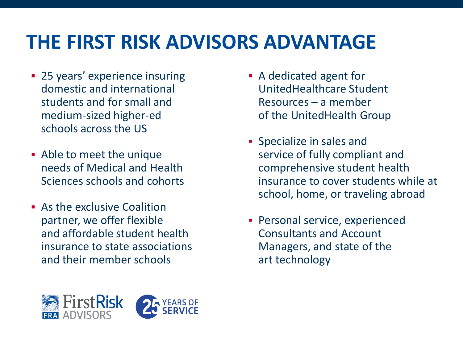### **THE FIRST RISK ADVISORS ADVANTAGE**

- **25 years' experience insuring** domestic and international students and for small and medium-sized higher-ed schools across the US
- Able to meet the unique needs of Medical and Health Sciences schools and cohorts
- **E.** As the exclusive Coalition partner, we offer flexible and affordable student health insurance to state associations and their member schools
- A dedicated agent for UnitedHealthcare Student Resources – a member of the UnitedHealth Group
- **•** Specialize in sales and service of fully compliant and comprehensive student health insurance to cover students while at school, home, or traveling abroad
- **Personal service, experienced** Consultants and Account Managers, and state of the art technology

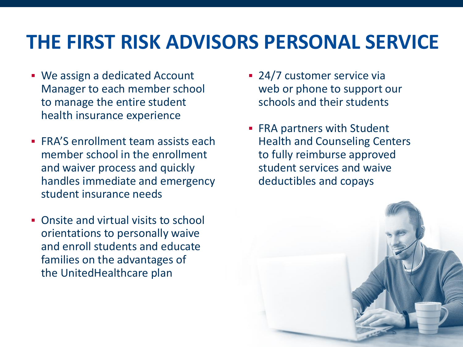#### **THE FIRST RISK ADVISORS PERSONAL SERVICE**

- We assign a dedicated Account Manager to each member school to manage the entire student health insurance experience
- **FRA'S enrollment team assists each** member school in the enrollment and waiver process and quickly handles immediate and emergency student insurance needs
- Onsite and virtual visits to school orientations to personally waive and enroll students and educate families on the advantages of the UnitedHealthcare plan
- 24/7 customer service via web or phone to support our schools and their students
- **FRA partners with Student** Health and Counseling Centers to fully reimburse approved student services and waive deductibles and copays

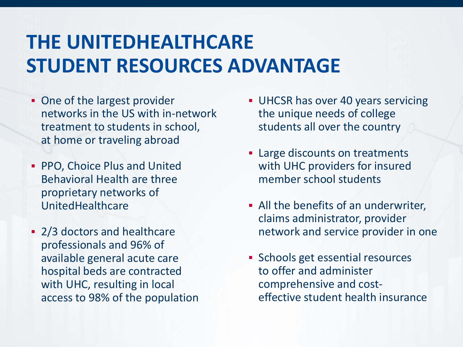#### **THE UNITEDHEALTHCARE STUDENT RESOURCES ADVANTAGE**

- One of the largest provider networks in the US with in-network treatment to students in school, at home or traveling abroad
- PPO, Choice Plus and United Behavioral Health are three proprietary networks of UnitedHealthcare
- 2/3 doctors and healthcare professionals and 96% of available general acute care hospital beds are contracted with UHC, resulting in local access to 98% of the population
- **UHCSR has over 40 years servicing** the unique needs of college students all over the country
- Large discounts on treatments with UHC providers for insured member school students
- **EXECUTE:** All the benefits of an underwriter, claims administrator, provider network and service provider in one
- **EX Schools get essential resources** to offer and administer comprehensive and costeffective student health insurance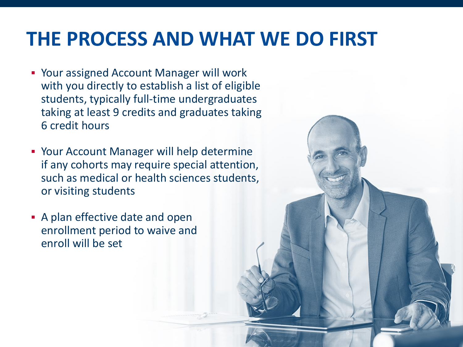#### **THE PROCESS AND WHAT WE DO FIRST**

- Your assigned Account Manager will work with you directly to establish a list of eligible students, typically full-time undergraduates taking at least 9 credits and graduates taking 6 credit hours
- **Your Account Manager will help determine** if any cohorts may require special attention, such as medical or health sciences students, or visiting students
- **A plan effective date and open** enrollment period to waive and enroll will be set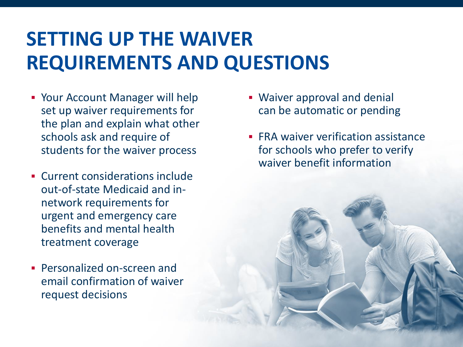# **SETTING UP THE WAIVER REQUIREMENTS AND QUESTIONS**

- Your Account Manager will help set up waiver requirements for the plan and explain what other schools ask and require of students for the waiver process
- Current considerations include out-of-state Medicaid and innetwork requirements for urgent and emergency care benefits and mental health treatment coverage
- Personalized on-screen and email confirmation of waiver request decisions
- **Waiver approval and denial** can be automatic or pending
- **FRA waiver verification assistance** for schools who prefer to verify waiver benefit information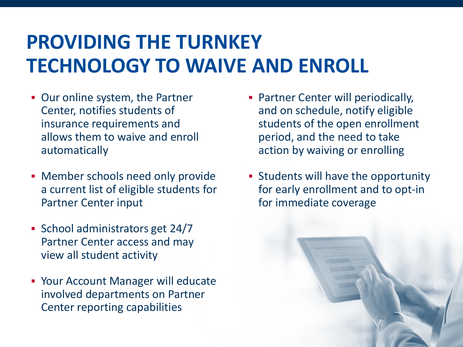# **PROVIDING THE TURNKEY TECHNOLOGY TO WAIVE AND ENROLL**

- **Our online system, the Partner** Center, notifies students of insurance requirements and allows them to waive and enroll automatically
- **Member schools need only provide** a current list of eligible students for Partner Center input
- School administrators get 24/7 Partner Center access and may view all student activity
- **Your Account Manager will educate** involved departments on Partner Center reporting capabilities
- **Partner Center will periodically,** and on schedule, notify eligible students of the open enrollment period, and the need to take action by waiving or enrolling
- **Example 1 Students will have the opportunity** for early enrollment and to opt-in for immediate coverage

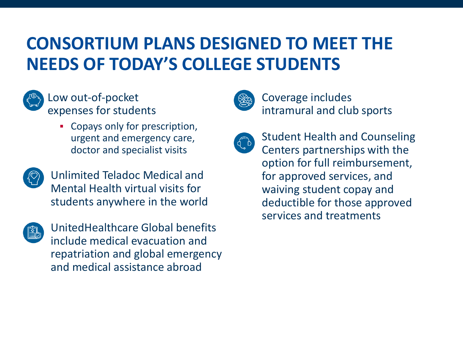#### **CONSORTIUM PLANS DESIGNED TO MEET THE NEEDS OF TODAY'S COLLEGE STUDENTS**



Low out-of-pocket expenses for students

> • Copays only for prescription, urgent and emergency care, doctor and specialist visits



Unlimited Teladoc Medical and Mental Health virtual visits for students anywhere in the world



UnitedHealthcare Global benefits include medical evacuation and repatriation and global emergency and medical assistance abroad



Coverage includes intramural and club sports



Student Health and Counseling Centers partnerships with the option for full reimbursement, for approved services, and waiving student copay and deductible for those approved services and treatments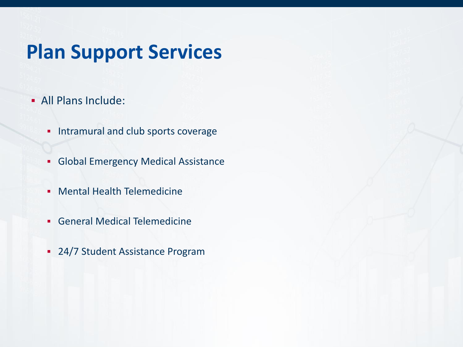#### **Plan Support Services**

- All Plans Include:
	- **·** Intramural and club sports coverage
	- **Global Emergency Medical Assistance**
	- **Mental Health Telemedicine**
	- **General Medical Telemedicine**
	- **24/7 Student Assistance Program**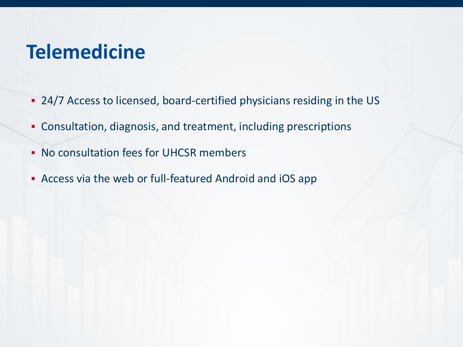#### **Telemedicine**

- 24/7 Access to licensed, board-certified physicians residing in the US
- Consultation, diagnosis, and treatment, including prescriptions
- No consultation fees for UHCSR members
- Access via the web or full-featured Android and iOS app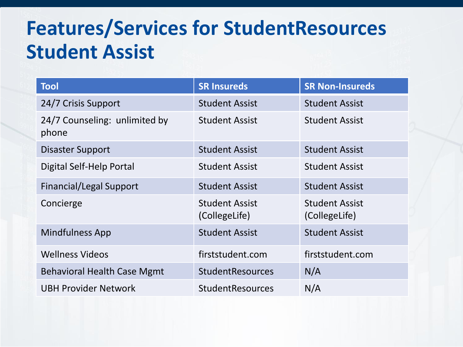#### **Features/Services for StudentResources Student Assist**

| <b>Tool</b>                            | <b>SR Insureds</b>                     | <b>SR Non-Insureds</b>                 |
|----------------------------------------|----------------------------------------|----------------------------------------|
| 24/7 Crisis Support                    | <b>Student Assist</b>                  | <b>Student Assist</b>                  |
| 24/7 Counseling: unlimited by<br>phone | <b>Student Assist</b>                  | <b>Student Assist</b>                  |
| <b>Disaster Support</b>                | <b>Student Assist</b>                  | <b>Student Assist</b>                  |
| Digital Self-Help Portal               | <b>Student Assist</b>                  | <b>Student Assist</b>                  |
| <b>Financial/Legal Support</b>         | <b>Student Assist</b>                  | <b>Student Assist</b>                  |
| Concierge                              | <b>Student Assist</b><br>(CollegeLife) | <b>Student Assist</b><br>(CollegeLife) |
| <b>Mindfulness App</b>                 | <b>Student Assist</b>                  | <b>Student Assist</b>                  |
| <b>Wellness Videos</b>                 | firststudent.com                       | firststudent.com                       |
| <b>Behavioral Health Case Mgmt</b>     | <b>StudentResources</b>                | N/A                                    |
| <b>UBH Provider Network</b>            | <b>StudentResources</b>                | N/A                                    |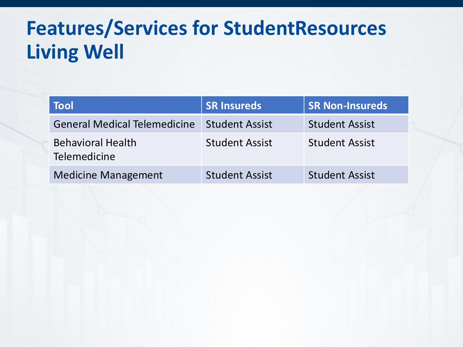# **Features/Services for StudentResources Living Well**

| <b>Tool</b>                              | <b>SR Insureds</b>    | <b>SR Non-Insureds</b> |
|------------------------------------------|-----------------------|------------------------|
| <b>General Medical Telemedicine</b>      | <b>Student Assist</b> | <b>Student Assist</b>  |
| <b>Behavioral Health</b><br>Telemedicine | <b>Student Assist</b> | <b>Student Assist</b>  |
| <b>Medicine Management</b>               | <b>Student Assist</b> | <b>Student Assist</b>  |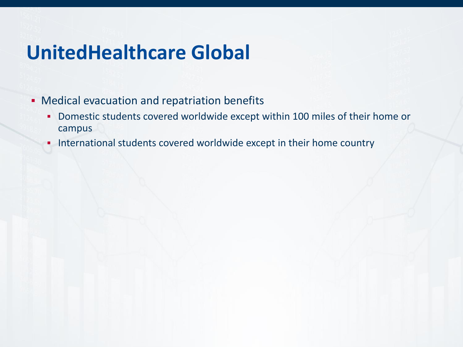#### **UnitedHealthcare Global**

- **Medical evacuation and repatriation benefits** 
	- Domestic students covered worldwide except within 100 miles of their home or campus
	- **.** International students covered worldwide except in their home country